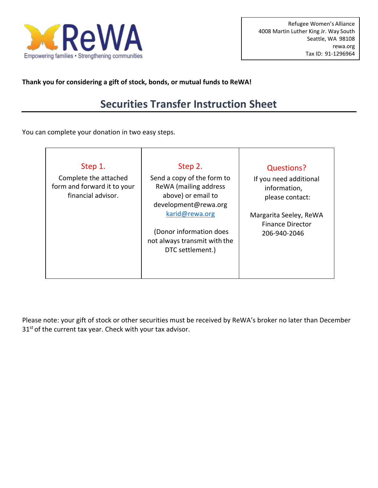

**Thank you for considering a gift of stock, bonds, or mutual funds to ReWA!**

## **Securities Transfer Instruction Sheet**

You can complete your donation in two easy steps.

| Step 1.<br>Complete the attached<br>form and forward it to your<br>financial advisor. | Step 2.<br>Send a copy of the form to<br>ReWA (mailing address<br>above) or email to<br>development@rewa.org<br>karid@rewa.org<br>(Donor information does<br>not always transmit with the<br>DTC settlement.) | <b>Questions?</b><br>If you need additional<br>information,<br>please contact:<br>Margarita Seeley, ReWA<br><b>Finance Director</b><br>206-940-2046 |
|---------------------------------------------------------------------------------------|---------------------------------------------------------------------------------------------------------------------------------------------------------------------------------------------------------------|-----------------------------------------------------------------------------------------------------------------------------------------------------|
|---------------------------------------------------------------------------------------|---------------------------------------------------------------------------------------------------------------------------------------------------------------------------------------------------------------|-----------------------------------------------------------------------------------------------------------------------------------------------------|

Please note: your gift of stock or other securities must be received by ReWA's broker no later than December 31<sup>st</sup> of the current tax year. Check with your tax advisor.